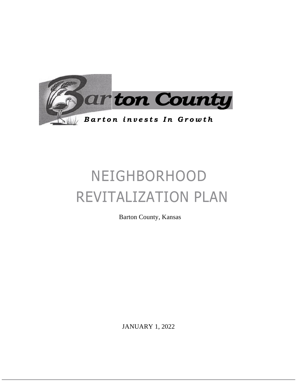

# NEIGHBORHOOD REVITALIZATION PLAN

Barton County, Kansas

JANUARY 1, 2022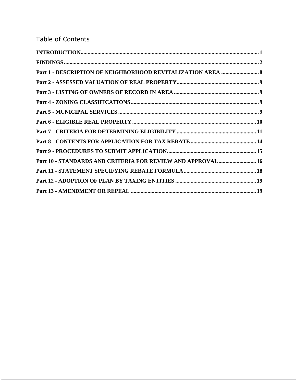### Table of Contents

| Part 1 - DESCRIPTION OF NEIGHBORHOOD REVITALIZATION AREA  8 |  |
|-------------------------------------------------------------|--|
|                                                             |  |
|                                                             |  |
|                                                             |  |
|                                                             |  |
|                                                             |  |
|                                                             |  |
|                                                             |  |
|                                                             |  |
| Part 10 - STANDARDS AND CRITERIA FOR REVIEW AND APPROVAL 16 |  |
|                                                             |  |
|                                                             |  |
|                                                             |  |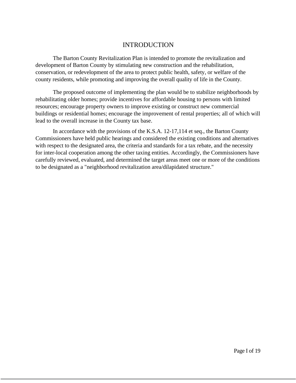#### INTRODUCTION

The Barton County Revitalization Plan is intended to promote the revitalization and development of Barton County by stimulating new construction and the rehabilitation, conservation, or redevelopment of the area to protect public health, safety, or welfare of the county residents, while promoting and improving the overall quality of life in the County.

The proposed outcome of implementing the plan would be to stabilize neighborhoods by rehabilitating older homes; provide incentives for affordable housing to persons with limited resources; encourage property owners to improve existing or construct new commercial buildings or residential homes; encourage the improvement of rental properties; all of which will lead to the overall increase in the County tax base.

In accordance with the provisions of the K.S.A. 12-17,114 et seq., the Barton County Commissioners have held public hearings and considered the existing conditions and alternatives with respect to the designated area, the criteria and standards for a tax rebate, and the necessity for inter-local cooperation among the other taxing entities. Accordingly, the Commissioners have carefully reviewed, evaluated, and determined the target areas meet one or more of the conditions to be designated as a "neighborhood revitalization area/dilapidated structure."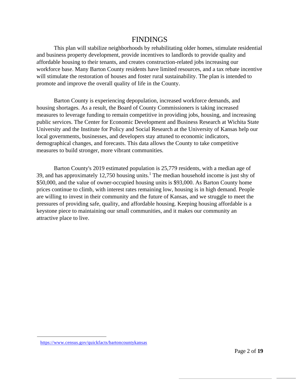### FINDINGS

This plan will stabilize neighborhoods by rehabilitating older homes, stimulate residential and business property development, provide incentives to landlords to provide quality and affordable housing to their tenants, and creates construction-related jobs increasing our workforce base. Many Barton County residents have limited resources, and a tax rebate incentive will stimulate the restoration of houses and foster rural sustainability. The plan is intended to promote and improve the overall quality of life in the County.

Barton County is experiencing depopulation, increased workforce demands, and housing shortages. As a result, the Board of County Commissioners is taking increased measures to leverage funding to remain competitive in providing jobs, housing, and increasing public services. The Center for Economic Development and Business Research at Wichita State University and the Institute for Policy and Social Research at the University of Kansas help our local governments, businesses, and developers stay attuned to economic indicators, demographical changes, and forecasts. This data allows the County to take competitive measures to build stronger, more vibrant communities.

Barton County's 2019 estimated population is 25,779 residents, with a median age of 39, and has approximately  $12,750$  housing units.<sup>1</sup> The median household income is just shy of \$50,000, and the value of owner-occupied housing units is \$93,000. As Barton County home prices continue to climb, with interest rates remaining low, housing is in high demand. People are willing to invest in their community and the future of Kansas, and we struggle to meet the pressures of providing safe, quality, and affordable housing. Keeping housing affordable is a keystone piece to maintaining our small communities, and it makes our community an attractive place to live.

<https://www.census.gov/quickfacts/bartoncountykansas>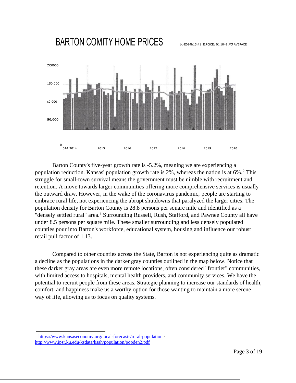## BARTON COMITY HOME PRICES



Barton County's five-year growth rate is -5.2%, meaning we are experiencing a population reduction. Kansas' population growth rate is  $2\%$ , whereas the nation is at  $6\%$ .<sup>2</sup> This struggle for small-town survival means the government must be nimble with recruitment and retention. A move towards larger communities offering more comprehensive services is usually the outward draw. However, in the wake of the coronavirus pandemic, people are starting to embrace rural life, not experiencing the abrupt shutdowns that paralyzed the larger cities. The population density for Barton County is 28.8 persons per square mile and identified as a "densely settled rural" area.<sup>3</sup> Surrounding Russell, Rush, Stafford, and Pawnee County all have under 8.5 persons per square mile. These smaller surrounding and less densely populated counties pour into Barton's workforce, educational system, housing and influence our robust retail pull factor of 1.13.

Compared to other counties across the State, Barton is not experiencing quite as dramatic a decline as the populations in the darker gray counties outlined in the map below. Notice that these darker gray areas are even more remote locations, often considered "frontier" communities, with limited access to hospitals, mental health providers, and community services. We have the potential to recruit people from these areas. Strategic planning to increase our standards of health, comfort, and happiness make us a worthy option for those wanting to maintain a more serene way of life, allowing us to focus on quality systems.

<https://www.kansaseconomy.org/local-forecasts/rural-population> <sup>3</sup> <http://www.ipsr.ku.edu/ksdata/ksah/population/popden2.pdf>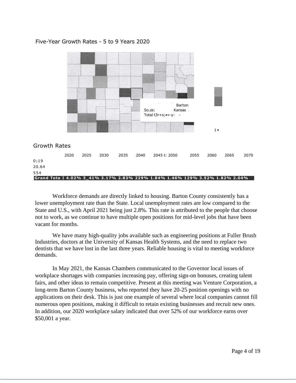#### Five-Year Growth Rates - 5 to 9 Years 2020



Workforce demands are directly linked to housing. Barton County consistently has a lower unemployment rate than the State. Local unemployment rates are low compared to the State and U.S., with April 2021 being just 2.8%. This rate is attributed to the people that choose not to work, as we continue to have multiple open positions for mid-level jobs that have been vacant for months.

We have many high-quality jobs available such as engineering positions at Fuller Brush Industries, doctors at the University of Kansas Health Systems, and the need to replace two dentists that we have lost in the last three years. Reliable housing is vital to meeting workforce demands.

In May 2021, the Kansas Chambers communicated to the Governor local issues of workplace shortages with companies increasing pay, offering sign-on bonuses, creating talent fairs, and other ideas to remain competitive. Present at this meeting was Venture Corporation, a long-term Barton County business, who reported they have 20-25 position openings with no applications on their desk. This is just one example of several where local companies cannot fill numerous open positions, making it difficult to retain existing businesses and recruit new ones. In addition, our 2020 workplace salary indicated that over 52% of our workforce earns over \$50,001 a year.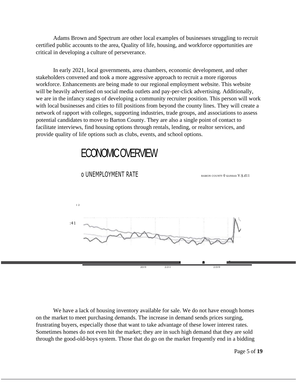Adams Brown and Spectrum are other local examples of businesses struggling to recruit certified public accounts to the area, Quality of life, housing, and workforce opportunities are critical in developing a culture of perseverance.

In early 2021, local governments, area chambers, economic development, and other stakeholders convened and took a more aggressive approach to recruit a more rigorous workforce. Enhancements are being made to our regional employment website. This website will be heavily advertised on social media outlets and pay-per-click advertising. Additionally, we are in the infancy stages of developing a community recruiter position. This person will work with local businesses and cities to fill positions from beyond the county lines. They will create a network of rapport with colleges, supporting industries, trade groups, and associations to assess potential candidates to move to Barton County. They are also a single point of contact to facilitate interviews, find housing options through rentals, lending, or realtor services, and provide quality of life options such as clubs, events, and school options.

# ECONOMIC OVERVIEW



O UNEMPLOYMENT RATE

We have a lack of housing inventory available for sale. We do not have enough homes on the market to meet purchasing demands. The increase in demand sends prices surging, frustrating buyers, especially those that want to take advantage of these lower interest rates. Sometimes homes do not even hit the market; they are in such high demand that they are sold through the good-old-boys system. Those that do go on the market frequently end in a bidding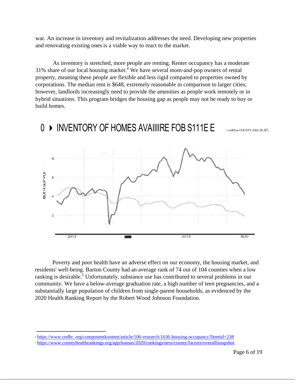war. An increase in inventory and revitalization addresses the need. Developing new properties and renovating existing ones is a viable way to react to the market.

As inventory is stretched, more people are renting. Renter occupancy has a moderate  $31\%$  share of our local housing market.<sup>4</sup> We have several mom-and-pop owners of rental property, meaning these people are flexible and less rigid compared to properties owned by corporations. The median rent is \$648, extremely reasonable in comparison to larger cities; however, landlords increasingly need to provide the amenities as people work remotely or in hybrid situations. This program bridges the housing gap as people may not be ready to buy or build homes.



0 INVENTORY OF HOMES AVAIIIIRE FOB S111E E • eARTow COUNTY d tcr.re.A?,

Poverty and poor health have an adverse effect on our economy, the housing market, and residents' well-being. Barton County had an average rank of 74 out of 104 counties when a low ranking is desirable.<sup>5</sup> Unfortunately, substance use has contributed to several problems in our community. We have a below-average graduation rate, a high number of teen pregnancies, and a substantially large population of children from single-parent households, as evidenced by the 2020 Health Ranking Report by the Robert Wood Johnson Foundation.

<sup>4</sup> [https://www.cedbr. org/componentkontent/article/106-research/1636-housing-occupancy?Itemid=238](https://www.cedbr.org/componentkontent/article/106-research/1636-housing-occupancy?Itemid=238)

<sup>5</sup> <https://www.countyhealthrankings.org/app/kansas/2020/rankings/ness/county/factors/overalllsnapshot>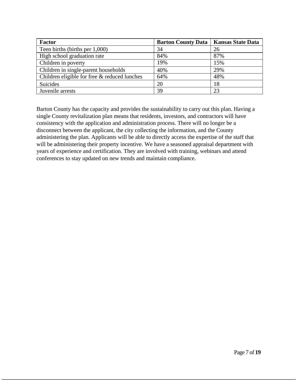| <b>Factor</b>                                | <b>Barton County Data</b> | <b>Kansas State Data</b> |
|----------------------------------------------|---------------------------|--------------------------|
| Teen births (births per 1,000)               | 34                        | 26                       |
| High school graduation rate                  | 84%                       | 87%                      |
| Children in poverty                          | 19%                       | 15%                      |
| Children in single-parent households         | 40%                       | 29%                      |
| Children eligible for free & reduced lunches | 64%                       | 48%                      |
| Suicides                                     | 20                        | 18                       |
| Juvenile arrests                             | 39                        | 23                       |

Barton County has the capacity and provides the sustainability to carry out this plan. Having a single County revitalization plan means that residents, investors, and contractors will have consistency with the application and administration process. There will no longer be a disconnect between the applicant, the city collecting the information, and the County administering the plan. Applicants will be able to directly access the expertise of the staff that will be administering their property incentive. We have a seasoned appraisal department with years of experience and certification. They are involved with training, webinars and attend conferences to stay updated on new trends and maintain compliance.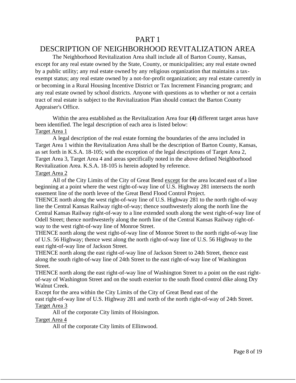### PART 1

### DESCRIPTION OF NEIGHBORHOOD REVITALIZATION AREA

The Neighborhood Revitalization Area shall include all of Barton County, Kansas, except for any real estate owned by the State, County, or municipalities; any real estate owned by a public utility; any real estate owned by any religious organization that maintains a taxexempt status; any real estate owned by a not-for-profit organization; any real estate currently in or becoming in a Rural Housing Incentive District or Tax Increment Financing program; and any real estate owned by school districts. Anyone with questions as to whether or not a certain tract of real estate is subject to the Revitalization Plan should contact the Barton County Appraiser's Office.

Within the area established as the Revitalization Area four **(4)** different target areas have been identified. The legal description of each area is listed below: Target Area 1

A legal description of the real estate forming the boundaries of the area included in Target Area 1 within the Revitalization Area shall be the description of Barton County, Kansas, as set forth in K.S.A. 18-105; with the exception of the legal descriptions of Target Area 2, Target Area 3, Target Area 4 and areas specifically noted in the above defined Neighborhood Revitalization Area. K.S.A. 18-105 is herein adopted by reference.

#### Target Area 2

All of the City Limits of the City of Great Bend except for the area located east of a line beginning at a point where the west right-of-way line of U.S. Highway 281 intersects the north easement line of the north levee of the Great Bend Flood Control Project.

THENCE north along the west right-of-way line of U.S. Highway 281 to the north right-of-way line the Central Kansas Railway right-of-way; thence southwesterly along the north line the Central Kansas Railway right-of-way to a line extended south along the west right-of-way line of Odell Street; thence northwesterly along the north line of the Central Kansas Railway right-ofway to the west right-of-way line of Monroe Street.

THENCE north along the west right-of-way line of Monroe Street to the north right-of-way line of U.S. 56 Highway; thence west along the north right-of-way line of U.S. 56 Highway to the east right-of-way line of Jackson Street.

THENCE north along the east right-of-way line of Jackson Street to 24th Street, thence east along the south right-of-way line of 24th Street to the east right-of-way line of Washington Street.

THENCE north along the east right-of-way line of Washington Street to a point on the east rightof-way of Washington Street and on the south exterior to the south flood control dike along Dry Walnut Creek.

Except for the area within the City Limits of the City of Great Bend east of the east right-of-way line of U.S. Highway 281 and north of the north right-of-way of 24th Street. Target Area 3

All of the corporate City limits of Hoisington.

#### Target Area 4

All of the corporate City limits of Ellinwood.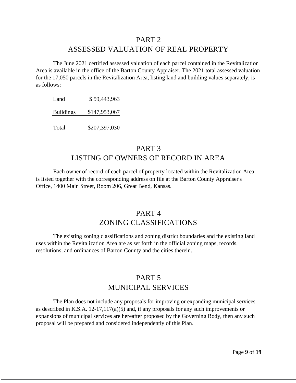#### PART 2

### ASSESSED VALUATION OF REAL PROPERTY

The June 2021 certified assessed valuation of each parcel contained in the Revitalization Area is available in the office of the Barton County Appraiser. The 2021 total assessed valuation for the 17,050 parcels in the Revitalization Area, listing land and building values separately, is as follows:

Land \$ 59,443,963 Buildings \$147,953,067 Total \$207,397,030

### PART 3 LISTING OF OWNERS OF RECORD IN AREA

Each owner of record of each parcel of property located within the Revitalization Area is listed together with the corresponding address on file at the Barton County Appraiser's Office, 1400 Main Street, Room 206, Great Bend, Kansas.

### PART 4 ZONING CLASSIFICATIONS

The existing zoning classifications and zoning district boundaries and the existing land uses within the Revitalization Area are as set forth in the official zoning maps, records, resolutions, and ordinances of Barton County and the cities therein.

### PART 5 MUNICIPAL SERVICES

The Plan does not include any proposals for improving or expanding municipal services as described in K.S.A. 12-17,117(a)(5) and, if any proposals for any such improvements or expansions of municipal services are hereafter proposed by the Governing Body, then any such proposal will be prepared and considered independently of this Plan.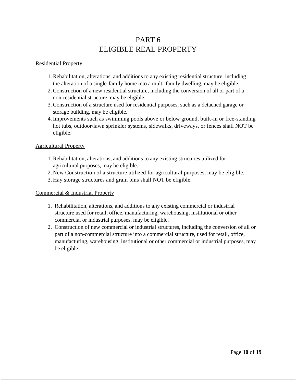### PART 6 ELIGIBLE REAL PROPERTY

#### Residential Property

- 1. Rehabilitation, alterations, and additions to any existing residential structure, including the alteration of a single-family home into a multi-family dwelling, may be eligible.
- 2. Construction of a new residential structure, including the conversion of all or part of a non-residential structure, may be eligible.
- 3. Construction of a structure used for residential purposes, such as a detached garage or storage building, may be eligible.
- 4. Improvements such as swimming pools above or below ground, built-in or free-standing hot tubs, outdoor/lawn sprinkler systems, sidewalks, driveways, or fences shall NOT be eligible.

#### Agricultural Property

- 1. Rehabilitation, alterations, and additions to any existing structures utilized for agricultural purposes, may be eligible.
- 2. New Construction of a structure utilized for agricultural purposes, may be eligible.
- 3. Hay storage structures and grain bins shall NOT be eligible.

#### Commercial & Industrial Property

- 1. Rehabilitation, alterations, and additions to any existing commercial or industrial structure used for retail, office, manufacturing, warehousing, institutional or other commercial or industrial purposes, may be eligible.
- 2. Construction of new commercial or industrial structures, including the conversion of all or part of a non-commercial structure into a commercial structure, used for retail, office, manufacturing, warehousing, institutional or other commercial or industrial purposes, may be eligible.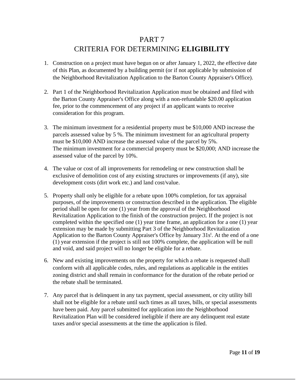### PART 7 CRITERIA FOR DETERMINING **ELIGIBILITY**

- 1. Construction on a project must have begun on or after January 1, 2022, the effective date of this Plan, as documented by a building permit (or if not applicable by submission of the Neighborhood Revitalization Application to the Barton County Appraiser's Office).
- 2. Part 1 of the Neighborhood Revitalization Application must be obtained and filed with the Barton County Appraiser's Office along with a non-refundable \$20.00 application fee, prior to the commencement of any project if an applicant wants to receive consideration for this program.
- 3. The minimum investment for a residential property must be \$10,000 AND increase the parcels assessed value by 5 %. The minimum investment for an agricultural property must be \$10,000 AND increase the assessed value of the parcel by 5%. The minimum investment for a commercial property must be \$20,000; AND increase the assessed value of the parcel by 10%.
- 4. The value or cost of all improvements for remodeling or new construction shall be exclusive of demolition cost of any existing structures or improvements (if any), site development costs (dirt work etc.) and land cost/value.
- 5. Property shall only be eligible for a rebate upon 100% completion, for tax appraisal purposes, of the improvements or construction described in the application. The eligible period shall be open for one (1) year from the approval of the Neighborhood Revitalization Application to the finish of the construction project. If the project is not completed within the specified one (1) year time frame, an application for a one (1) year extension may be made by submitting Part 3 of the Neighborhood Revitalization Application to the Barton County Appraiser's Office by January 31s<sup>t</sup>. At the end of a one (1) year extension if the project is still not 100% complete, the application will be null and void, and said project will no longer be eligible for a rebate.
- 6. New and existing improvements on the property for which a rebate is requested shall conform with all applicable codes, rules, and regulations as applicable in the entities zoning district and shall remain in conformance for the duration of the rebate period or the rebate shall be terminated.
- 7. Any parcel that is delinquent in any tax payment, special assessment, or city utility bill shall not be eligible for a rebate until such times as all taxes, bills, or special assessments have been paid. Any parcel submitted for application into the Neighborhood Revitalization Plan will be considered ineligible if there are any delinquent real estate taxes and/or special assessments at the time the application is filed.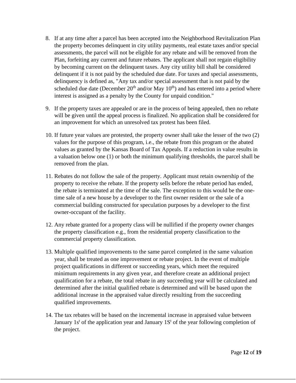- 8. If at any time after a parcel has been accepted into the Neighborhood Revitalization Plan the property becomes delinquent in city utility payments, real estate taxes and/or special assessments, the parcel will not be eligible for any rebate and will be removed from the Plan, forfeiting any current and future rebates. The applicant shall not regain eligibility by becoming current on the delinquent taxes. Any city utility bill shall be considered delinquent if it is not paid by the scheduled due date. For taxes and special assessments, delinquency is defined as, "Any tax and/or special assessment that is not paid by the scheduled due date (December  $20<sup>th</sup>$  and/or May  $10<sup>th</sup>$ ) and has entered into a period where interest is assigned as a penalty by the County for unpaid condition."
- 9. If the property taxes are appealed or are in the process of being appealed, then no rebate will be given until the appeal process is finalized. No application shall be considered for an improvement for which an unresolved tax protest has been filed.
- 10. If future year values are protested, the property owner shall take the lesser of the two (2) values for the purpose of this program, i.e., the rebate from this program or the abated values as granted by the Kansas Board of Tax Appeals. If a reduction in value results in a valuation below one (1) or both the minimum qualifying thresholds, the parcel shall be removed from the plan.
- 11. Rebates do not follow the sale of the property. Applicant must retain ownership of the property to receive the rebate. If the property sells before the rebate period has ended, the rebate is terminated at the time of the sale. The exception to this would be the onetime sale of a new house by a developer to the first owner resident or the sale of a commercial building constructed for speculation purposes by a developer to the first owner-occupant of the facility.
- 12. Any rebate granted for a property class will be nullified if the property owner changes the property classification e.g., from the residential property classification to the commercial property classification.
- 13. Multiple qualified improvements to the same parcel completed in the same valuation year, shall be treated as one improvement or rebate project. In the event of multiple project qualifications in different or succeeding years, which meet the required minimum requirements in any given year, and therefore create an additional project qualification for a rebate, the total rebate in any succeeding year will be calculated and determined after the initial qualified rebate is determined and will be based upon the additional increase in the appraised value directly resulting from the succeeding qualified improvements.
- 14. The tax rebates will be based on the incremental increase in appraised value between January 1s<sup>t</sup> of the application year and January 1S<sup>t</sup> of the year following completion of the project.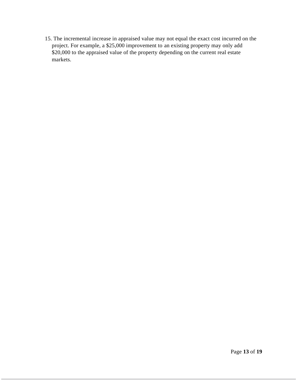15. The incremental increase in appraised value may not equal the exact cost incurred on the project. For example, a \$25,000 improvement to an existing property may only add \$20,000 to the appraised value of the property depending on the current real estate markets.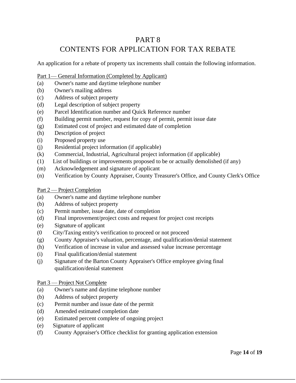### PART 8 CONTENTS FOR APPLICATION FOR TAX REBATE

An application for a rebate of property tax increments shall contain the following information.

#### Part 1— General Information (Completed by Applicant)

- (a) Owner's name and daytime telephone number
- (b) Owner's mailing address
- (c) Address of subject property
- (d) Legal description of subject property
- (e) Parcel Identification number and Quick Reference number
- (f) Building permit number, request for copy of permit, permit issue date
- (g) Estimated cost of project and estimated date of completion
- (h) Description of project
- (i) Proposed property use
- (j) Residential project information (if applicable)
- (k) Commercial, Industrial, Agricultural project information (if applicable)
- (1) List of buildings or improvements proposed to be or actually demolished (if any)
- (m) Acknowledgement and signature of applicant
- (n) Verification by County Appraiser, County Treasurer's Office, and County Clerk's Office
- Part 2 Project Completion
- (a) Owner's name and daytime telephone number
- (b) Address of subject property
- (c) Permit number, issue date, date of completion
- (d) Final improvement/project costs and request for project cost receipts
- (e) Signature of applicant
- (0 City/Taxing entity's verification to proceed or not proceed
- (g) County Appraiser's valuation, percentage, and qualification/denial statement
- (h) Verification of increase in value and assessed value increase percentage
- (i) Final qualification/denial statement
- (j) Signature of the Barton County Appraiser's Office employee giving final qualification/denial statement

#### Part 3 — Project Not Complete

- (a) Owner's name and daytime telephone number
- (b) Address of subject property
- (c) Permit number and issue date of the permit
- (d) Amended estimated completion date
- (e) Estimated percent complete of ongoing project
- (e) Signature of applicant
- (f) County Appraiser's Office checklist for granting application extension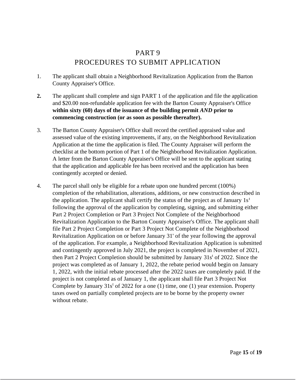### PART 9 PROCEDURES TO SUBMIT APPLICATION

- 1. The applicant shall obtain a Neighborhood Revitalization Application from the Barton County Appraiser's Office.
- **2.** The applicant shall complete and sign PART 1 of the application and file the application and \$20.00 non-refundable application fee with the Barton County Appraiser's Office **within sixty (60) days of the issuance of the building permit** *AND* **prior to commencing construction (or as soon as possible thereafter).**
- 3. The Barton County Appraiser's Office shall record the certified appraised value and assessed value of the existing improvements, if any, on the Neighborhood Revitalization Application at the time the application is filed. The County Appraiser will perform the checklist at the bottom portion of Part 1 of the Neighborhood Revitalization Application. A letter from the Barton County Appraiser's Office will be sent to the applicant stating that the application and applicable fee has been received and the application has been contingently accepted or denied.
- 4. The parcel shall only be eligible for a rebate upon one hundred percent (100%) completion of the rehabilitation, alterations, additions, or new construction described in the application. The applicant shall certify the status of the project as of January  $1s<sup>t</sup>$ following the approval of the application by completing, signing, and submitting either Part 2 Project Completion or Part 3 Project Not Complete of the Neighborhood Revitalization Application to the Barton County Appraiser's Office. The applicant shall file Part 2 Project Completion or Part 3 Project Not Complete of the Neighborhood Revitalization Application on or before January 31' of the year following the approval of the application. For example, a Neighborhood Revitalization Application is submitted and contingently approved in July 2021, the project is completed in November of 2021, then Part 2 Project Completion should be submitted by January  $31s<sup>t</sup>$  of 2022. Since the project was completed as of January 1, 2022, the rebate period would begin on January 1, 2022, with the initial rebate processed after the 2022 taxes are completely paid. If the project is not completed as of January 1, the applicant shall file Part 3 Project Not Complete by January  $31s^t$  of 2022 for a one (1) time, one (1) year extension. Property taxes owed on partially completed projects are to be borne by the property owner without rebate.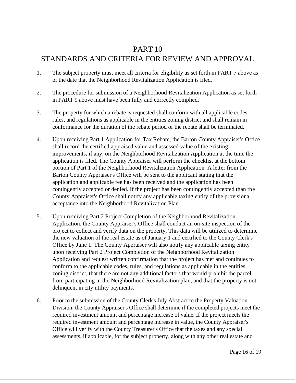### PART 10

### STANDARDS AND CRITERIA FOR REVIEW AND APPROVAL

- 1. The subject property must meet all criteria for eligibility as set forth in PART 7 above as of the date that the Neighborhood Revitalization Application is filed.
- 2. The procedure for submission of a Neighborhood Revitalization Application as set forth in PART 9 above must have been fully and correctly complied.
- 3. The property for which a rebate is requested shall conform with all applicable codes, rules, and regulations as applicable in the entities zoning district and shall remain in conformance for the duration of the rebate period or the rebate shall be terminated.
- 4. Upon receiving Part 1 Application for Tax Rebate, the Barton County Appraiser's Office shall record the certified appraised value and assessed value of the existing improvements, if any, on the Neighborhood Revitalization Application at the time the application is filed. The County Appraiser will perform the checklist at the bottom portion of Part 1 of the Neighborhood Revitalization Application. A letter from the Barton County Appraiser's Office will be sent to the applicant stating that the application and applicable fee has been received and the application has been contingently accepted or denied. If the project has been contingently accepted than the County Appraiser's Office shall notify any applicable taxing entity of the provisional acceptance into the Neighborhood Revitalization Plan.
- 5. Upon receiving Part 2 Project Completion of the Neighborhood Revitalization Application, the County Appraiser's Office shall conduct an on-site inspection of the project to collect and verify data on the property. This data will be utilized to determine the new valuation of the real estate as of January 1 and certified to the County Clerk's Office by June 1. The County Appraiser will also notify any applicable taxing entity upon receiving Part 2 Project Completion of the Neighborhood Revitalization Application and request written confirmation that the project has met and continues to conform to the applicable codes, rules, and regulations as applicable in the entities zoning district, that there are not any additional factors that would prohibit the parcel from participating in the Neighborhood Revitalization plan, and that the property is not delinquent in city utility payments.
- 6. Prior to the submission of the County Clerk's July Abstract to the Property Valuation Division, the County Appraiser's Office shall determine if the completed projects meet the required investment amount and percentage increase of value. If the project meets the required investment amount and percentage increase in value, the County Appraiser's Office will verify with the County Treasurer's Office that the taxes and any special assessments, if applicable, for the subject property, along with any other real estate and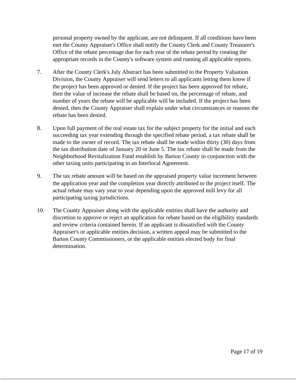personal property owned by the applicant, are not delinquent. If all conditions have been met the County Appraiser's Office shall notify the County Clerk and County Treasurer's Office of the rebate percentage due for each year of the rebate period by creating the appropriate records in the County's software system and running all applicable reports.

- 7. After the County Clerk's July Abstract has been submitted to the Property Valuation Division, the County Appraiser will send letters to all applicants letting them know if the project has been approved or denied. If the project has been approved for rebate, then the value of increase the rebate shall be based on, the percentage of rebate, and number of years the rebate will be applicable will be included. If the project has been denied, then the County Appraiser shall explain under what circumstances or reasons the rebate has been denied.
- 8. Upon full payment of the real estate tax for the subject property for the initial and each succeeding tax year extending through the specified rebate period, a tax rebate shall be made to the owner of record. The tax rebate shall be made within thirty (30) days from the tax distribution date of January 20 or June 5. The tax rebate shall be made from the Neighborhood Revitalization Fund establish by Barton County in conjunction with the other taxing units participating in an Interlocal Agreement.
- 9. The tax rebate amount will be based on the appraised property value increment between the application year and the completion year directly attributed to the project itself. The actual rebate may vary year to year depending upon the approved mill levy for all participating taxing jurisdictions.
- 10. The County Appraiser along with the applicable entities shall have the authority and discretion to approve or reject an application for rebate based on the eligibility standards and review criteria contained herein. If an applicant is dissatisfied with the County Appraiser's or applicable entities decision, a written appeal may be submitted to the Barton County Commissioners, or the applicable entities elected body for final determination.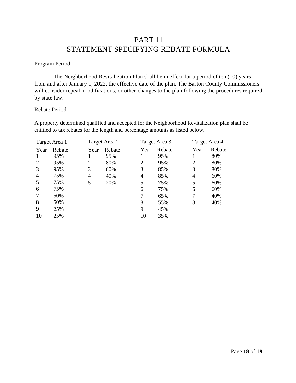### PART 11 STATEMENT SPECIFYING REBATE FORMULA

#### Program Period:

The Neighborhood Revitalization Plan shall be in effect for a period of ten (10) years from and after January 1, 2022, the effective date of the plan. The Barton County Commissioners will consider repeal, modifications, or other changes to the plan following the procedures required by state law.

#### Rebate Period:

A property determined qualified and accepted for the Neighborhood Revitalization plan shall be entitled to tax rebates for the length and percentage amounts as listed below.

|                | Target Area 1 |      | Target Area 2 |      | Target Area 3 | Target Area 4 |        |
|----------------|---------------|------|---------------|------|---------------|---------------|--------|
| Year           | Rebate        | Year | Rebate        | Year | Rebate        | Year          | Rebate |
| 1              | 95%           |      | 95%           |      | 95%           |               | 80%    |
| 2              | 95%           | 2    | 80%           | 2    | 95%           | 2             | 80%    |
| 3              | 95%           | 3    | 60%           | 3    | 85%           | 3             | 80%    |
| $\overline{4}$ | 75%           | 4    | 40%           | 4    | 85%           | 4             | 60%    |
| 5              | 75%           | 5    | 20%           | 5    | 75%           | 5             | 60%    |
| 6              | 75%           |      |               | 6    | 75%           | 6             | 60%    |
| 7              | 50%           |      |               | 7    | 65%           | 7             | 40%    |
| 8              | 50%           |      |               | 8    | 55%           | 8             | 40%    |
| 9              | 25%           |      |               | 9    | 45%           |               |        |
| 10             | 25%           |      |               | 10   | 35%           |               |        |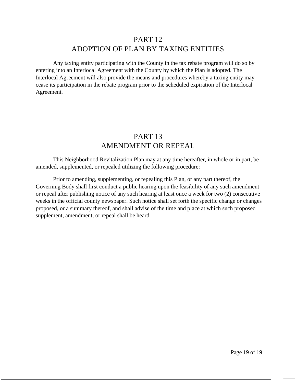### PART<sub>12</sub> ADOPTION OF PLAN BY TAXING ENTITIES

Any taxing entity participating with the County in the tax rebate program will do so by entering into an Interlocal Agreement with the County by which the Plan is adopted. The Interlocal Agreement will also provide the means and procedures whereby a taxing entity may cease its participation in the rebate program prior to the scheduled expiration of the Interlocal Agreement.

### PART 13 AMENDMENT OR REPEAL

This Neighborhood Revitalization Plan may at any time hereafter, in whole or in part, be amended, supplemented, or repealed utilizing the following procedure:

Prior to amending, supplementing, or repealing this Plan, or any part thereof, the Governing Body shall first conduct a public hearing upon the feasibility of any such amendment or repeal after publishing notice of any such hearing at least once a week for two (2) consecutive weeks in the official county newspaper. Such notice shall set forth the specific change or changes proposed, or a summary thereof, and shall advise of the time and place at which such proposed supplement, amendment, or repeal shall be heard.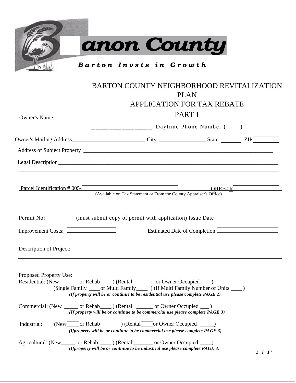| ---------------- Daytime Phone Number ()                                                                                                            | APPLICATION FOR TAX REBATE<br>PART <sub>1</sub> |                                                                                                                                                                                                                                                                                                                                                                                                                                                                                                                                                    |
|-----------------------------------------------------------------------------------------------------------------------------------------------------|-------------------------------------------------|----------------------------------------------------------------------------------------------------------------------------------------------------------------------------------------------------------------------------------------------------------------------------------------------------------------------------------------------------------------------------------------------------------------------------------------------------------------------------------------------------------------------------------------------------|
|                                                                                                                                                     |                                                 |                                                                                                                                                                                                                                                                                                                                                                                                                                                                                                                                                    |
|                                                                                                                                                     |                                                 |                                                                                                                                                                                                                                                                                                                                                                                                                                                                                                                                                    |
|                                                                                                                                                     |                                                 |                                                                                                                                                                                                                                                                                                                                                                                                                                                                                                                                                    |
| (Available on Tax Statement or From the County Appraiser's Office)<br>Permit No: _________ (must submit copy of permit with application) Issue Date | OREF# R                                         |                                                                                                                                                                                                                                                                                                                                                                                                                                                                                                                                                    |
|                                                                                                                                                     |                                                 |                                                                                                                                                                                                                                                                                                                                                                                                                                                                                                                                                    |
|                                                                                                                                                     |                                                 |                                                                                                                                                                                                                                                                                                                                                                                                                                                                                                                                                    |
|                                                                                                                                                     |                                                 | Estimated Date of Completion<br>Residential: (New ________ or Rehab____) (Rental ________ or Owner Occupied ____)<br>(Single Family _____ or Multi Family ______ ) (If Multi Family Number of Units ____ )<br>(If property will be or continue to be residential use please complete PAGE 2)<br>Commercial: (New _______ or Rehab_____) (Rental _______ or Owner Occupied ___)<br>(If property will be or continue to be commercial use please complete $PAGE$ 3)<br>(If property will be or continue to be commercial use please complete PAGE 3) |

*(Ifproperty will be or continue to be industrial use please complete PAGE 3)*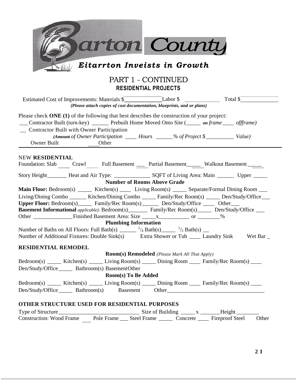| arton County                                                                                                                                                                                                                                                                                                                                                                                                                                             |
|----------------------------------------------------------------------------------------------------------------------------------------------------------------------------------------------------------------------------------------------------------------------------------------------------------------------------------------------------------------------------------------------------------------------------------------------------------|
| Eitarrton Inveists in Growth                                                                                                                                                                                                                                                                                                                                                                                                                             |
| PART 1 - CONTINUED<br><b>RESIDENTIAL PROJECTS</b>                                                                                                                                                                                                                                                                                                                                                                                                        |
| (Please attach copies of cost documentation, blueprints, and or plans)                                                                                                                                                                                                                                                                                                                                                                                   |
| Please check $\overline{ONE}$ (1) of the following that best describes the construction of your project:<br>Contractor Built (turn-key) _______ Prebuilt Home Moved Onto Site (_____ on frame ____ offframe)<br>_ Contractor Built with Owner Participation<br>(Amount of Owner Participation ______ Hours ______% of Project \$______________ Value)<br>Owner Built<br>Other                                                                            |
| <b>NEW RESIDENTIAL</b><br>Foundation: Slab Crawl Full Basement __ Partial Basement Walkout Basement ______                                                                                                                                                                                                                                                                                                                                               |
| <b>Number of Rooms Above Grade</b>                                                                                                                                                                                                                                                                                                                                                                                                                       |
| Main Floor: Bedroom(s) _____ Kitchen(s) ____ Living Room(s) _____ Separate/Formal Dining Room ___<br>Living/Dining Combo ______ Kitchen/Dining Combo _____ Family/Rec Room(s) _____ Den/Study/Office ___<br>Upper Floor: Bedroom(s) _______ Family/Rec Room(s) ________ Den/Study/Office _____ Other____<br><b>Basement Informational</b> applicable): Bedroom(s)_________ Family/Rec Room(s)______ Den/Study/Office ____<br><b>Plumbing Information</b> |
| Number of Baths on All Floors: Full Bath(s) ______ $^{1/4}$ Bath(s) ____ $^{1/2}$ Bath(s) __                                                                                                                                                                                                                                                                                                                                                             |
| Number of Additional Fixtures: Double Sink(s)<br>Extra Shower or Tub _______ Laundry Sink Wet Bar _                                                                                                                                                                                                                                                                                                                                                      |
| RESIDENTIAL REMODEL<br><b>Room(s) Remodeled</b> (Please Mark All That Apply)                                                                                                                                                                                                                                                                                                                                                                             |
| Bedroom(s) ______ Kitchen(s) ______ Living Room(s) ______ Dining Room _____ Family/Rec Room(s) ____                                                                                                                                                                                                                                                                                                                                                      |
| Den/Study/Office________ Bathroom(s) BasementOther                                                                                                                                                                                                                                                                                                                                                                                                       |
| <b>Room(s)</b> To Be Added                                                                                                                                                                                                                                                                                                                                                                                                                               |
| Bedroom(s) ______ Kitchen(s) ______ Living Room(s) ______ Dining Room _____ Family/Rec Room(s) ____                                                                                                                                                                                                                                                                                                                                                      |
| Den/Study/Office________ Bathroom(s) Basement Other______________________________                                                                                                                                                                                                                                                                                                                                                                        |
| OTHER STRUCTURE USED FOR RESIDENTIAL PURPOSES                                                                                                                                                                                                                                                                                                                                                                                                            |
| Construction: Wood Frame Pole Frame Steel Frame Concrete Fireproof Steel<br>Other                                                                                                                                                                                                                                                                                                                                                                        |
|                                                                                                                                                                                                                                                                                                                                                                                                                                                          |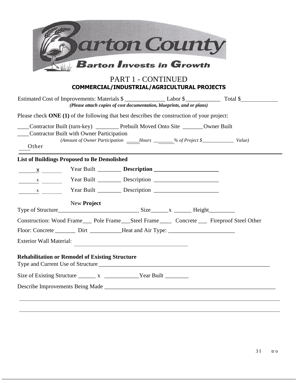|                                                                                                                                            |             | PART 1 - CONTINUED                                                  | arton County<br>$\blacksquare$ Barton Invests in Growth                |                                                                                              |
|--------------------------------------------------------------------------------------------------------------------------------------------|-------------|---------------------------------------------------------------------|------------------------------------------------------------------------|----------------------------------------------------------------------------------------------|
|                                                                                                                                            |             |                                                                     | COMMERCIAL/INDUSTRIAL/AGRICULTURAL PROJECTS                            | Estimated Cost of Improvements: Materials \$                                                 |
| Please check ONE (1) of the following that best describes the construction of your project:                                                |             |                                                                     | (Please attach copies of cost documentation, blueprints, and or plans) |                                                                                              |
| ____Contractor Built (turn-key) _________Prebuilt Moved Onto Site _______Owner Built<br>Contractor Built with Owner Participation<br>Other |             |                                                                     |                                                                        | (Amount of Owner Participation _____Hours _______% of Project \$_______________ Value)       |
| <b>List of Buildings Proposed to Be Demolished</b>                                                                                         |             |                                                                     |                                                                        |                                                                                              |
|                                                                                                                                            |             |                                                                     |                                                                        |                                                                                              |
|                                                                                                                                            |             |                                                                     |                                                                        |                                                                                              |
| $\frac{X}{X}$                                                                                                                              |             |                                                                     |                                                                        |                                                                                              |
|                                                                                                                                            | New Project |                                                                     |                                                                        |                                                                                              |
|                                                                                                                                            |             |                                                                     |                                                                        | Construction: Wood Frame___ Pole Frame___ Steel Frame____ Concrete ___ Fireproof Steel Other |
| Floor: Concrete _________ Dirt ___________Heat and Air Type: ____________________                                                          |             |                                                                     |                                                                        |                                                                                              |
| <b>Exterior Wall Material:</b>                                                                                                             |             | <u> 1980 - Andrea Station Barbara, amerikan personal (h. 1980).</u> |                                                                        |                                                                                              |
| <b>Rehabilitation or Remodel of Existing Structure</b>                                                                                     |             |                                                                     |                                                                        |                                                                                              |
| Size of Existing Structure _________ x _____________________Year Built __________                                                          |             |                                                                     |                                                                        |                                                                                              |
|                                                                                                                                            |             |                                                                     |                                                                        |                                                                                              |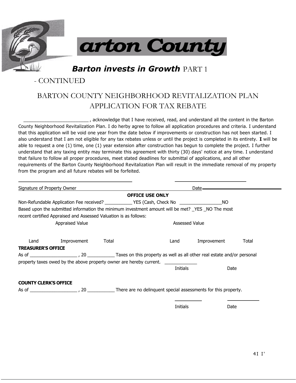



**Barton invests in Growth PART 1** 

### - CONTINUED

### BARTON COUNTY NEIGHBORHOOD REVITALIZATION PLAN APPLICATION FOR TAX REBATE

\_\_\_\_\_\_\_\_\_\_\_\_\_\_\_\_\_\_\_\_\_\_\_\_\_ , acknowledge that I have received, read, and understand all the content in the Barton County Neighborhood Revitalization Plan. I do herby agree to follow all application procedures and criteria. I understand that this application will be void one year from the date below if improvements or construction has not been started. I also understand that I am not eligible for any tax rebates unless or until the project is completed in its entirety. **I** will be able to request a one (1) time, one (1) year extension after construction has begun to complete the project. I further understand that any taxing entity may terminate this agreement with thirty (30) days' notice at any time. I understand that failure to follow all proper procedures, meet stated deadlines for submittal of applications, and all other requirements of the Barton County Neighborhood Revitalization Plan will result in the immediate removal of my property from the program and all future rebates will be forfeited.

| <b>Signature of Property Owner</b> |                                                                  |       |                                                                                                             | Da <u>te</u> |       |
|------------------------------------|------------------------------------------------------------------|-------|-------------------------------------------------------------------------------------------------------------|--------------|-------|
|                                    |                                                                  |       | <b>OFFICE USE ONLY</b>                                                                                      |              |       |
|                                    |                                                                  |       | Non-Refundable Application Fee received? ______________YES (Cash, Check No ______________________________NO |              |       |
|                                    | recent certified Appraised and Assessed Valuation is as follows: |       | Based upon the submitted information the minimum investment amount will be met? _YES _NO The most           |              |       |
|                                    | Appraised Value                                                  |       | Assessed Value                                                                                              |              |       |
| Land                               | Improvement                                                      | Total | Land                                                                                                        | Improvement  | Total |
| <b>TREASURER'S OFFICE</b>          |                                                                  |       |                                                                                                             |              |       |
|                                    |                                                                  |       |                                                                                                             |              |       |
|                                    |                                                                  |       | property taxes owed by the above property owner are hereby current.                                         |              |       |
|                                    |                                                                  |       | Initials                                                                                                    | Date         |       |
| <b>COUNTY CLERK'S OFFICE</b>       |                                                                  |       |                                                                                                             |              |       |
|                                    |                                                                  |       |                                                                                                             |              |       |
|                                    |                                                                  |       |                                                                                                             |              |       |
|                                    |                                                                  |       | <b>Initials</b>                                                                                             | <b>Date</b>  |       |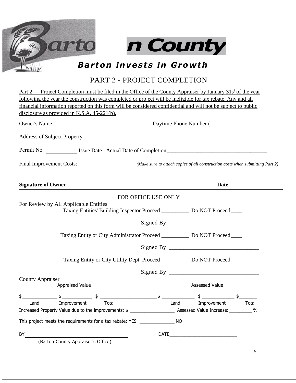